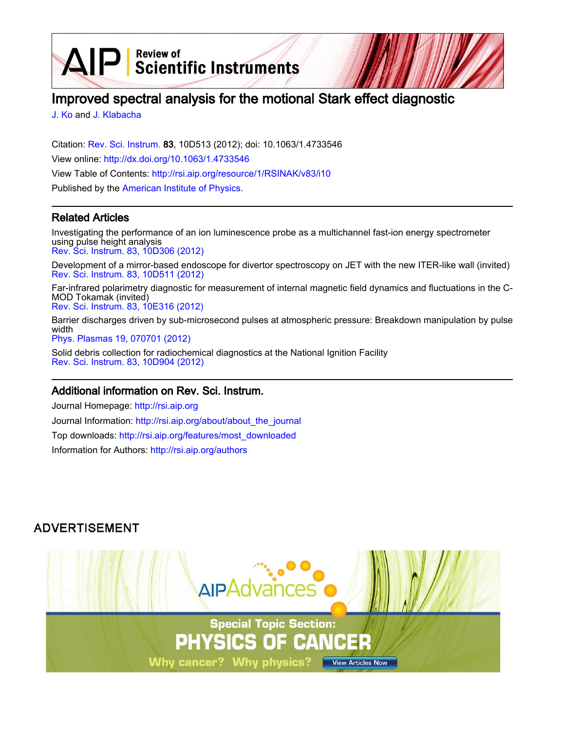$\mathsf{P}$  Review of Scientific Instruments

# Improved spectral analysis for the motional Stark effect diagnostic

[J. Ko](http://rsi.aip.org/search?sortby=newestdate&q=&searchzone=2&searchtype=searchin&faceted=faceted&key=AIP_ALL&possible1=J. Ko&possible1zone=author&alias=&displayid=AIP&ver=pdfcov) and [J. Klabacha](http://rsi.aip.org/search?sortby=newestdate&q=&searchzone=2&searchtype=searchin&faceted=faceted&key=AIP_ALL&possible1=J. Klabacha&possible1zone=author&alias=&displayid=AIP&ver=pdfcov)

 $\Delta$ ll

Citation: [Rev. Sci. Instrum.](http://rsi.aip.org?ver=pdfcov) 83, 10D513 (2012); doi: 10.1063/1.4733546 View online: [http://dx.doi.org/10.1063/1.4733546](http://link.aip.org/link/doi/10.1063/1.4733546?ver=pdfcov) View Table of Contents: [http://rsi.aip.org/resource/1/RSINAK/v83/i10](http://rsi.aip.org/resource/1/RSINAK/v83/i10?ver=pdfcov) Published by the [American Institute of Physics.](http://www.aip.org/?ver=pdfcov)

### Related Articles

Investigating the performance of an ion luminescence probe as a multichannel fast-ion energy spectrometer using pulse height analysis [Rev. Sci. Instrum. 83, 10D306 \(2012\)](http://link.aip.org/link/doi/10.1063/1.4733572?ver=pdfcov)

Development of a mirror-based endoscope for divertor spectroscopy on JET with the new ITER-like wall (invited) [Rev. Sci. Instrum. 83, 10D511 \(2012\)](http://link.aip.org/link/doi/10.1063/1.4731759?ver=pdfcov)

Far-infrared polarimetry diagnostic for measurement of internal magnetic field dynamics and fluctuations in the C-MOD Tokamak (invited)

[Rev. Sci. Instrum. 83, 10E316 \(2012\)](http://link.aip.org/link/doi/10.1063/1.4731757?ver=pdfcov)

Barrier discharges driven by sub-microsecond pulses at atmospheric pressure: Breakdown manipulation by pulse width

[Phys. Plasmas 19, 070701 \(2012\)](http://link.aip.org/link/doi/10.1063/1.4736716?ver=pdfcov)

Solid debris collection for radiochemical diagnostics at the National Ignition Facility [Rev. Sci. Instrum. 83, 10D904 \(2012\)](http://link.aip.org/link/doi/10.1063/1.4732856?ver=pdfcov)

### Additional information on Rev. Sci. Instrum.

Journal Homepage: [http://rsi.aip.org](http://rsi.aip.org?ver=pdfcov) Journal Information: [http://rsi.aip.org/about/about\\_the\\_journal](http://rsi.aip.org/about/about_the_journal?ver=pdfcov) Top downloads: [http://rsi.aip.org/features/most\\_downloaded](http://rsi.aip.org/features/most_downloaded?ver=pdfcov) Information for Authors: [http://rsi.aip.org/authors](http://rsi.aip.org/authors?ver=pdfcov)

## **ADVERTISEMENT**

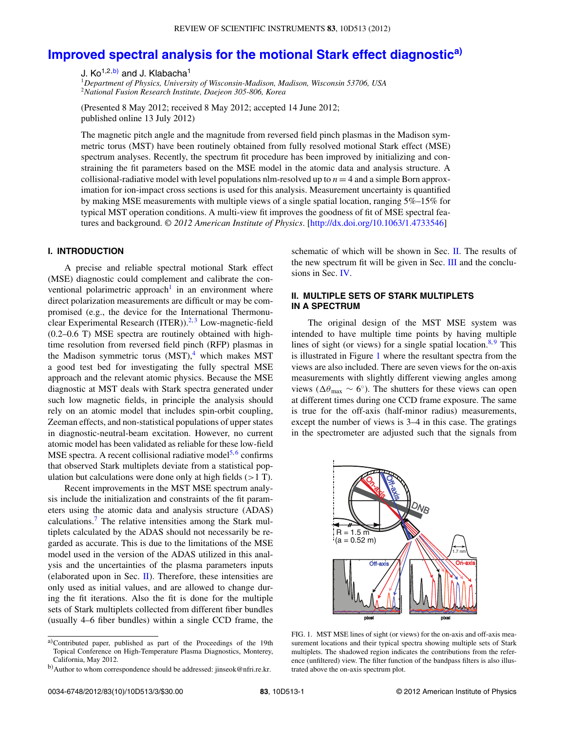# **[Improved spectral analysis for the motional Stark effect diagnostic](http://dx.doi.org/10.1063/1.4733546)[a\)](#page-1-0)**

J. Ko<sup>1,2,b</sup>) and J. Klabacha<sup>1</sup>

<sup>1</sup>*Department of Physics, University of Wisconsin-Madison, Madison, Wisconsin 53706, USA* <sup>2</sup>*National Fusion Research Institute, Daejeon 305-806, Korea*

(Presented 8 May 2012; received 8 May 2012; accepted 14 June 2012; published online 13 July 2012)

The magnetic pitch angle and the magnitude from reversed field pinch plasmas in the Madison symmetric torus (MST) have been routinely obtained from fully resolved motional Stark effect (MSE) spectrum analyses. Recently, the spectrum fit procedure has been improved by initializing and constraining the fit parameters based on the MSE model in the atomic data and analysis structure. A collisional-radiative model with level populations nlm-resolved up to  $n = 4$  and a simple Born approximation for ion-impact cross sections is used for this analysis. Measurement uncertainty is quantified by making MSE measurements with multiple views of a single spatial location, ranging 5%–15% for typical MST operation conditions. A multi-view fit improves the goodness of fit of MSE spectral features and background. *© 2012 American Institute of Physics*. [\[http://dx.doi.org/10.1063/1.4733546\]](http://dx.doi.org/10.1063/1.4733546)

#### **I. INTRODUCTION**

A precise and reliable spectral motional Stark effect (MSE) diagnostic could complement and calibrate the con-ventional polarimetric approach<sup>[1](#page-3-0)</sup> in an environment where direct polarization measurements are difficult or may be compromised (e.g., the device for the International Thermonuclear Experimental Research (ITER)). $2,3$  $2,3$  Low-magnetic-field (0.2–0.6 T) MSE spectra are routinely obtained with hightime resolution from reversed field pinch (RFP) plasmas in the Madison symmetric torus  $(MST)$ ,<sup>[4](#page-3-3)</sup> which makes MST a good test bed for investigating the fully spectral MSE approach and the relevant atomic physics. Because the MSE diagnostic at MST deals with Stark spectra generated under such low magnetic fields, in principle the analysis should rely on an atomic model that includes spin-orbit coupling, Zeeman effects, and non-statistical populations of upper states in diagnostic-neutral-beam excitation. However, no current atomic model has been validated as reliable for these low-field MSE spectra. A recent collisional radiative model<sup>[5,](#page-3-4)[6](#page-3-5)</sup> confirms that observed Stark multiplets deviate from a statistical population but calculations were done only at high fields (*>*1 T).

Recent improvements in the MST MSE spectrum analysis include the initialization and constraints of the fit parameters using the atomic data and analysis structure (ADAS) calculations[.7](#page-3-6) The relative intensities among the Stark multiplets calculated by the ADAS should not necessarily be regarded as accurate. This is due to the limitations of the MSE model used in the version of the ADAS utilized in this analysis and the uncertainties of the plasma parameters inputs (elaborated upon in Sec.  $\Pi$ ). Therefore, these intensities are only used as initial values, and are allowed to change during the fit iterations. Also the fit is done for the multiple sets of Stark multiplets collected from different fiber bundles (usually 4–6 fiber bundles) within a single CCD frame, the

<span id="page-1-0"></span>a)Contributed paper, published as part of the Proceedings of the 19th Topical Conference on High-Temperature Plasma Diagnostics, Monterey, California, May 2012.

schematic of which will be shown in Sec. [II.](#page-1-2) The results of the new spectrum fit will be given in Sec. [III](#page-2-0) and the conclusions in Sec. [IV.](#page-3-7)

#### <span id="page-1-2"></span>**II. MULTIPLE SETS OF STARK MULTIPLETS IN A SPECTRUM**

The original design of the MST MSE system was intended to have multiple time points by having multiple lines of sight (or views) for a single spatial location. $8.9$  $8.9$  This is illustrated in Figure [1](#page-1-3) where the resultant spectra from the views are also included. There are seven views for the on-axis measurements with slightly different viewing angles among views ( $\Delta\theta_{\text{max}} \sim 6^{\circ}$ ). The shutters for these views can open at different times during one CCD frame exposure. The same is true for the off-axis (half-minor radius) measurements, except the number of views is 3–4 in this case. The gratings in the spectrometer are adjusted such that the signals from

<span id="page-1-3"></span>

FIG. 1. MST MSE lines of sight (or views) for the on-axis and off-axis measurement locations and their typical spectra showing multiple sets of Stark multiplets. The shadowed region indicates the contributions from the reference (unfiltered) view. The filter function of the bandpass filters is also illustrated above the on-axis spectrum plot.

<span id="page-1-1"></span>b) Author to whom correspondence should be addressed: [jinseok@nfri.re.kr.](mailto: jinseok@nfri.re.kr)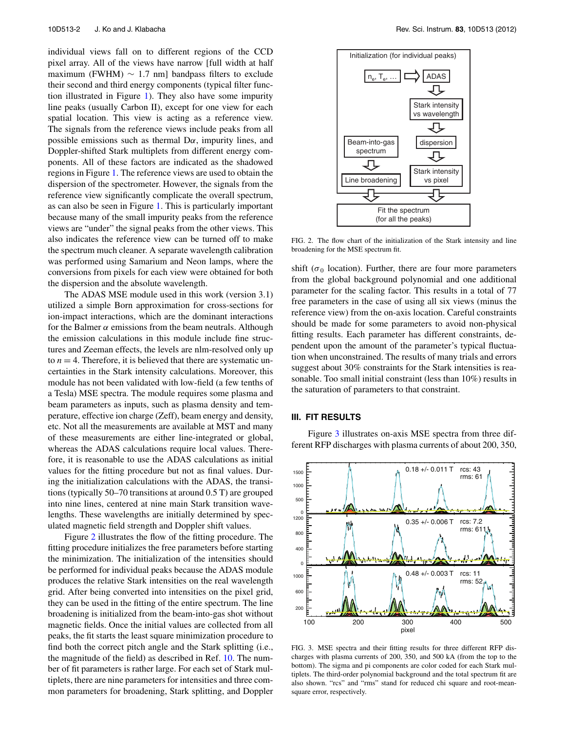individual views fall on to different regions of the CCD pixel array. All of the views have narrow [full width at half maximum (FWHM)  $\sim$  1.7 nm] bandpass filters to exclude their second and third energy components (typical filter function illustrated in Figure [1\)](#page-1-3). They also have some impurity line peaks (usually Carbon II), except for one view for each spatial location. This view is acting as a reference view. The signals from the reference views include peaks from all possible emissions such as thermal  $D\alpha$ , impurity lines, and Doppler-shifted Stark multiplets from different energy components. All of these factors are indicated as the shadowed regions in Figure [1.](#page-1-3) The reference views are used to obtain the dispersion of the spectrometer. However, the signals from the reference view significantly complicate the overall spectrum, as can also be seen in Figure [1.](#page-1-3) This is particularly important because many of the small impurity peaks from the reference views are "under" the signal peaks from the other views. This also indicates the reference view can be turned off to make the spectrum much cleaner. A separate wavelength calibration was performed using Samarium and Neon lamps, where the conversions from pixels for each view were obtained for both the dispersion and the absolute wavelength.

The ADAS MSE module used in this work (version 3.1) utilized a simple Born approximation for cross-sections for ion-impact interactions, which are the dominant interactions for the Balmer  $\alpha$  emissions from the beam neutrals. Although the emission calculations in this module include fine structures and Zeeman effects, the levels are nlm-resolved only up to  $n = 4$ . Therefore, it is believed that there are systematic uncertainties in the Stark intensity calculations. Moreover, this module has not been validated with low-field (a few tenths of a Tesla) MSE spectra. The module requires some plasma and beam parameters as inputs, such as plasma density and temperature, effective ion charge (Zeff), beam energy and density, etc. Not all the measurements are available at MST and many of these measurements are either line-integrated or global, whereas the ADAS calculations require local values. Therefore, it is reasonable to use the ADAS calculations as initial values for the fitting procedure but not as final values. During the initialization calculations with the ADAS, the transitions (typically 50–70 transitions at around 0.5 T) are grouped into nine lines, centered at nine main Stark transition wavelengths. These wavelengths are initially determined by speculated magnetic field strength and Doppler shift values.

Figure [2](#page-2-1) illustrates the flow of the fitting procedure. The fitting procedure initializes the free parameters before starting the minimization. The initialization of the intensities should be performed for individual peaks because the ADAS module produces the relative Stark intensities on the real wavelength grid. After being converted into intensities on the pixel grid, they can be used in the fitting of the entire spectrum. The line broadening is initialized from the beam-into-gas shot without magnetic fields. Once the initial values are collected from all peaks, the fit starts the least square minimization procedure to find both the correct pitch angle and the Stark splitting (i.e., the magnitude of the field) as described in Ref. [10.](#page-3-10) The number of fit parameters is rather large. For each set of Stark multiplets, there are nine parameters for intensities and three common parameters for broadening, Stark splitting, and Doppler

<span id="page-2-1"></span>

FIG. 2. The flow chart of the initialization of the Stark intensity and line broadening for the MSE spectrum fit.

shift ( $\sigma_0$  location). Further, there are four more parameters from the global background polynomial and one additional parameter for the scaling factor. This results in a total of 77 free parameters in the case of using all six views (minus the reference view) from the on-axis location. Careful constraints should be made for some parameters to avoid non-physical fitting results. Each parameter has different constraints, dependent upon the amount of the parameter's typical fluctuation when unconstrained. The results of many trials and errors suggest about 30% constraints for the Stark intensities is reasonable. Too small initial constraint (less than 10%) results in the saturation of parameters to that constraint.

#### <span id="page-2-0"></span>**III. FIT RESULTS**

Figure [3](#page-2-2) illustrates on-axis MSE spectra from three different RFP discharges with plasma currents of about 200, 350,

<span id="page-2-2"></span>

FIG. 3. MSE spectra and their fitting results for three different RFP discharges with plasma currents of 200, 350, and 500 kA (from the top to the bottom). The sigma and pi components are color coded for each Stark multiplets. The third-order polynomial background and the total spectrum fit are also shown. "rcs" and "rms" stand for reduced chi square and root-meansquare error, respectively.